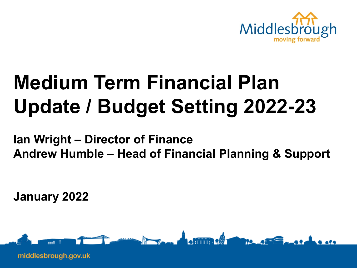

# **Medium Term Financial Plan Update / Budget Setting 2022-23**

**Ian Wright – Director of Finance Andrew Humble – Head of Financial Planning & Support**

**January 2022**

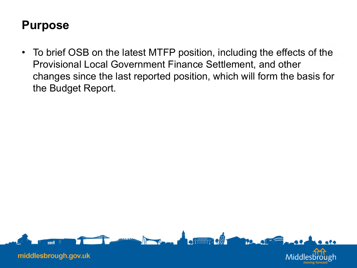#### **Purpose**

• To brief OSB on the latest MTFP position, including the effects of the Provisional Local Government Finance Settlement, and other changes since the last reported position, which will form the basis for the Budget Report.

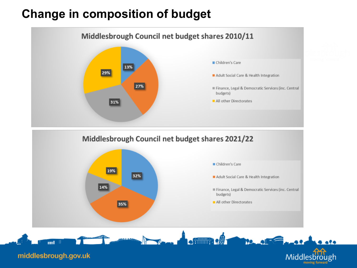#### **Change in composition of budget**

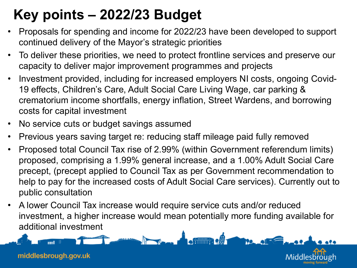# **Key points – 2022/23 Budget**

- Proposals for spending and income for 2022/23 have been developed to support continued delivery of the Mayor's strategic priorities
- To deliver these priorities, we need to protect frontline services and preserve our capacity to deliver major improvement programmes and projects
- Investment provided, including for increased employers NI costs, ongoing Covid-19 effects, Children's Care, Adult Social Care Living Wage, car parking & crematorium income shortfalls, energy inflation, Street Wardens, and borrowing costs for capital investment
- No service cuts or budget savings assumed
- Previous years saving target re: reducing staff mileage paid fully removed
- Proposed total Council Tax rise of 2.99% (within Government referendum limits) proposed, comprising a 1.99% general increase, and a 1.00% Adult Social Care precept, (precept applied to Council Tax as per Government recommendation to help to pay for the increased costs of Adult Social Care services). Currently out to public consultation
- A lower Council Tax increase would require service cuts and/or reduced investment, a higher increase would mean potentially more funding available for additional investment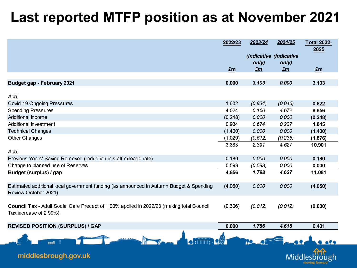#### **Last reported MTFP position as at November 2021**

|                                                                                                                     | 2022/23 | 2023/24                 | 2024/25 | <b>Total 2022-</b><br>2025 |
|---------------------------------------------------------------------------------------------------------------------|---------|-------------------------|---------|----------------------------|
|                                                                                                                     |         | (indicative (indicative |         |                            |
|                                                                                                                     |         | only)                   | only)   |                            |
|                                                                                                                     | £m      | $E$ m                   | $E$ m   | Em                         |
|                                                                                                                     |         |                         |         |                            |
| <b>Budget gap - February 2021</b>                                                                                   | 0.000   | 3.103                   | 0.000   | 3.103                      |
| Add:                                                                                                                |         |                         |         |                            |
| <b>Covid-19 Ongoing Pressures</b>                                                                                   | 1.602   | (0.934)                 | (0.046) | 0.622                      |
| <b>Spending Pressures</b>                                                                                           | 4.024   | 0.160                   | 4.672   | 8.856                      |
| <b>Additional Income</b>                                                                                            | (0.248) | 0.000                   | 0.000   | (0.248)                    |
| Additional Investment                                                                                               | 0.934   | 0.674                   | 0.237   | 1.845                      |
| <b>Technical Changes</b>                                                                                            | (1.400) | 0.000                   | 0.000   | (1.400)                    |
| <b>Other Changes</b>                                                                                                | (1.029) | (0.612)                 | (0.235) | (1.876)                    |
|                                                                                                                     | 3.883   | 2.391                   | 4.627   | 10.901                     |
| Add:                                                                                                                |         |                         |         |                            |
| Previous Years' Saving Removed (reduction in staff mileage rate)                                                    | 0.180   | 0.000                   | 0.000   | 0.180                      |
| Change to planned use of Reserves                                                                                   | 0.593   | (0.593)                 | 0.000   | 0.000                      |
| Budget (surplus) / gap                                                                                              | 4.656   | 1.798                   | 4.627   | 11.081                     |
| Estimated additional local government funding (as announced in Autumn Budget & Spending<br>Review October 2021)     | (4.050) | 0.000                   | 0.000   | (4.050)                    |
| Council Tax - Adult Social Care Precept of 1.00% applied in 2022/23 (making total Council<br>Tax increase of 2.99%) | (0.606) | (0.012)                 | (0.012) | (0.630)                    |
| <b>REVISED POSITION (SURPLUS) / GAP</b>                                                                             | 0.000   | 1.786                   | 4.615   | 6.401                      |
|                                                                                                                     |         |                         |         |                            |
|                                                                                                                     |         |                         |         |                            |

Midd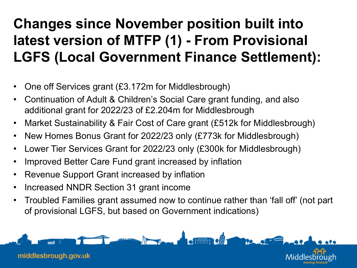# **Changes since November position built into latest version of MTFP (1) - From Provisional LGFS (Local Government Finance Settlement):**

- One off Services grant (£3.172m for Middlesbrough)
- Continuation of Adult & Children's Social Care grant funding, and also additional grant for 2022/23 of £2.204m for Middlesbrough
- Market Sustainability & Fair Cost of Care grant (£512k for Middlesbrough)
- New Homes Bonus Grant for 2022/23 only (£773k for Middlesbrough)
- Lower Tier Services Grant for 2022/23 only (£300k for Middlesbrough)
- Improved Better Care Fund grant increased by inflation
- Revenue Support Grant increased by inflation
- Increased NNDR Section 31 grant income
- Troubled Families grant assumed now to continue rather than 'fall off' (not part of provisional LGFS, but based on Government indications)

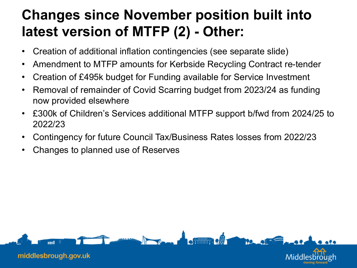#### **Changes since November position built into latest version of MTFP (2) - Other:**

- Creation of additional inflation contingencies (see separate slide)
- Amendment to MTFP amounts for Kerbside Recycling Contract re-tender
- Creation of £495k budget for Funding available for Service Investment
- Removal of remainder of Covid Scarring budget from 2023/24 as funding now provided elsewhere
- £300k of Children's Services additional MTFP support b/fwd from 2024/25 to 2022/23
- Contingency for future Council Tax/Business Rates losses from 2022/23
- Changes to planned use of Reserves

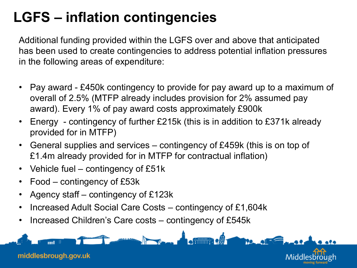## **LGFS – inflation contingencies**

Additional funding provided within the LGFS over and above that anticipated has been used to create contingencies to address potential inflation pressures in the following areas of expenditure:

- Pay award £450k contingency to provide for pay award up to a maximum of overall of 2.5% (MTFP already includes provision for 2% assumed pay award). Every 1% of pay award costs approximately £900k
- Energy contingency of further £215k (this is in addition to £371k already provided for in MTFP)
- General supplies and services contingency of £459k (this is on top of £1.4m already provided for in MTFP for contractual inflation)
- Vehicle fuel contingency of £51k
- Food contingency of £53k
- Agency staff contingency of £123k
- Increased Adult Social Care Costs contingency of £1,604k
- Increased Children's Care costs contingency of £545k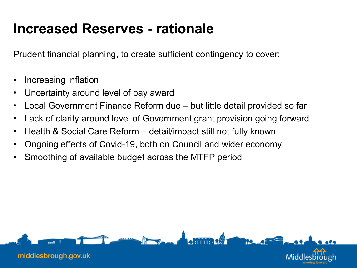#### **Increased Reserves - rationale**

Prudent financial planning, to create sufficient contingency to cover:

- Increasing inflation
- Uncertainty around level of pay award
- Local Government Finance Reform due but little detail provided so far
- Lack of clarity around level of Government grant provision going forward
- Health & Social Care Reform detail/impact still not fully known
- Ongoing effects of Covid-19, both on Council and wider economy
- Smoothing of available budget across the MTFP period

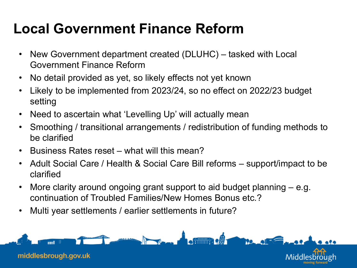## **Local Government Finance Reform**

- New Government department created (DLUHC) tasked with Local Government Finance Reform
- No detail provided as yet, so likely effects not yet known
- Likely to be implemented from 2023/24, so no effect on 2022/23 budget setting
- Need to ascertain what 'Levelling Up' will actually mean
- Smoothing / transitional arrangements / redistribution of funding methods to be clarified
- Business Rates reset what will this mean?
- Adult Social Care / Health & Social Care Bill reforms support/impact to be clarified
- More clarity around ongoing grant support to aid budget planning e.g. continuation of Troubled Families/New Homes Bonus etc.?
- Multi year settlements / earlier settlements in future?

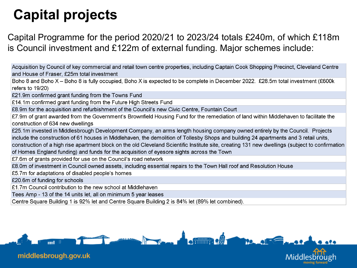# **Capital projects**

Capital Programme for the period 2020/21 to 2023/24 totals £240m, of which £118m is Council investment and £122m of external funding. Major schemes include:

Acquisition by Council of key commercial and retail town centre properties, including Captain Cook Shopping Precinct, Cleveland Centre and House of Fraser, £25m total investment

Boho 8 and Boho X - Boho 8 is fully occupied, Boho X is expected to be complete in December 2022. £28.5m total investment (£600k refers to 19/20)

£21.9m confirmed grant funding from the Towns Fund

£14.1m confirmed grant funding from the Future High Streets Fund

£8.9m for the acquisition and refurbishment of the Council's new Civic Centre, Fountain Court

£7.9m of grant awarded from the Government's Brownfield Housing Fund for the remediation of land within Middlehaven to facilitate the construction of 634 new dwellings

£25.1m invested in Middlesbrough Development Company, an arms length housing company owned entirely by the Council. Projects include the construction of 61 houses in Middlehaven, the demolition of Tollesby Shops and building 24 apartments and 3 retail units, construction of a high rise apartment block on the old Cleveland Scientific Institute site, creating 131 new dwellings (subject to confirmation of Homes England funding) and funds for the acquisition of eyesore sights across the Town

£7.6m of grants provided for use on the Council's road network

£8.0m of investment in Council owned assets, including essential repairs to the Town Hall roof and Resolution House

£5.7m for adaptations of disabled people's homes

£20.6m of funding for schools

£1.7m Council contribution to the new school at Middlehaven

Tees Amp - 13 of the 14 units let, all on minimum 5 year leases

Centre Square Building 1 is 92% let and Centre Square Building 2 is 84% let (89% let combined).

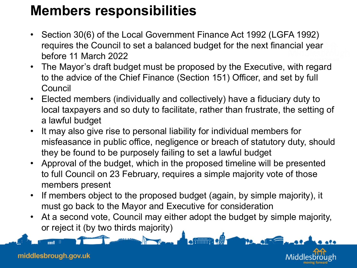#### **Members responsibilities**

- Section 30(6) of the Local Government Finance Act 1992 (LGFA 1992) requires the Council to set a balanced budget for the next financial year before 11 March 2022
- The Mayor's draft budget must be proposed by the Executive, with regard to the advice of the Chief Finance (Section 151) Officer, and set by full Council
- Elected members (individually and collectively) have a fiduciary duty to local taxpayers and so duty to facilitate, rather than frustrate, the setting of a lawful budget
- It may also give rise to personal liability for individual members for misfeasance in public office, negligence or breach of statutory duty, should they be found to be purposely failing to set a lawful budget
- Approval of the budget, which in the proposed timeline will be presented to full Council on 23 February, requires a simple majority vote of those members present
- If members object to the proposed budget (again, by simple majority), it must go back to the Mayor and Executive for consideration
- At a second vote, Council may either adopt the budget by simple majority, or reject it (by two thirds majority)